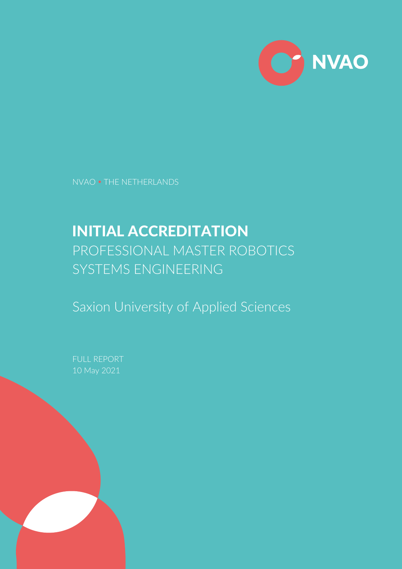

NVAO THE NETHERLANDS

# INITIAL ACCREDITATION PROFESSIONAL MASTER ROBOTICS SYSTEMS ENGINEERING

Saxion University of Applied Sciences

FULL REPORT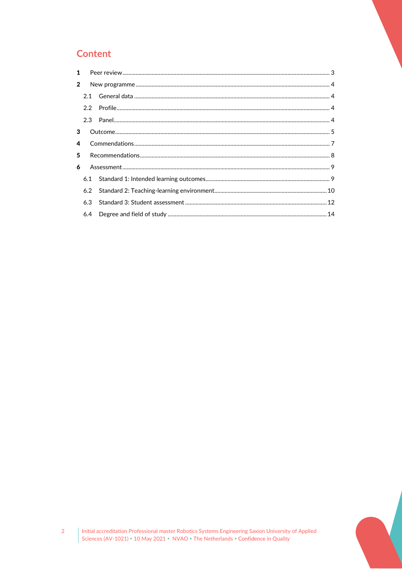# **Content**

| 1              |     |  |  |  |
|----------------|-----|--|--|--|
| $\overline{2}$ |     |  |  |  |
|                |     |  |  |  |
|                | 2.2 |  |  |  |
|                |     |  |  |  |
| 3              |     |  |  |  |
| 4              |     |  |  |  |
|                | 5   |  |  |  |
| 6              |     |  |  |  |
|                | 6.1 |  |  |  |
|                | 6.2 |  |  |  |
|                | 6.3 |  |  |  |
|                | 6.4 |  |  |  |
|                |     |  |  |  |

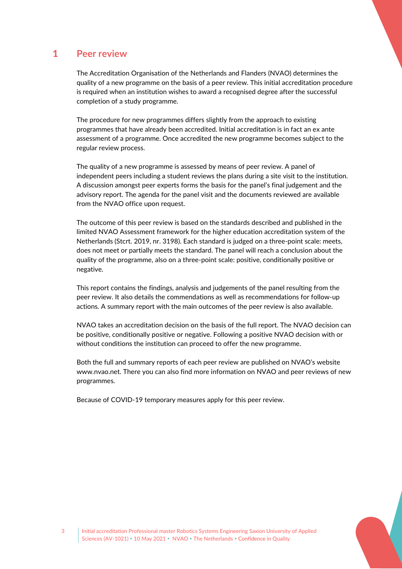## 1 **Peer review**

<span id="page-2-0"></span>The Accreditation Organisation of the Netherlands and Flanders (NVAO) determines the quality of a new programme on the basis of a peer review. This initial accreditation procedure is required when an institution wishes to award a recognised degree after the successful completion of a study programme.

The procedure for new programmes differs slightly from the approach to existing programmes that have already been accredited. Initial accreditation is in fact an ex ante assessment of a programme. Once accredited the new programme becomes subject to the regular review process.

The quality of a new programme is assessed by means of peer review. A panel of independent peers including a student reviews the plans during a site visit to the institution. A discussion amongst peer experts forms the basis for the panel's final judgement and the advisory report. The agenda for the panel visit and the documents reviewed are available from the NVAO office upon request.

The outcome of this peer review is based on the standards described and published in the limited NVAO Assessment framework for the higher education accreditation system of the Netherlands (Stcrt. 2019, nr. 3198). Each standard is judged on a three-point scale: meets, does not meet or partially meets the standard. The panel will reach a conclusion about the quality of the programme, also on a three-point scale: positive, conditionally positive or negative.

This report contains the findings, analysis and judgements of the panel resulting from the peer review. It also details the commendations as well as recommendations for follow-up actions. A summary report with the main outcomes of the peer review is also available.

NVAO takes an accreditation decision on the basis of the full report. The NVAO decision can be positive, conditionally positive or negative. Following a positive NVAO decision with or without conditions the institution can proceed to offer the new programme.

Both the full and summary reports of each peer review are published on NVAO's website www.nvao.net. There you can also find more information on NVAO and peer reviews of new programmes.

Because of COVID-19 temporary measures apply for this peer review.

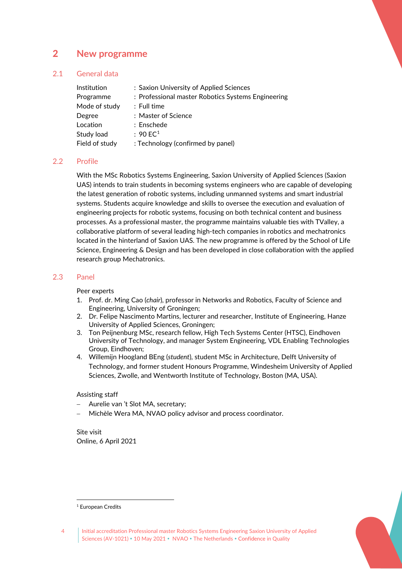## <span id="page-3-0"></span>2 **New programme**

## 2.1 General data

<span id="page-3-1"></span>

| <b>Institution</b> | : Saxion University of Applied Sciences            |
|--------------------|----------------------------------------------------|
| Programme          | : Professional master Robotics Systems Engineering |
| Mode of study      | $:$ Full time                                      |
| Degree             | : Master of Science                                |
| Location           | $:$ Enschede                                       |
| Study load         | : 90 E C <sup>1</sup>                              |
| Field of study     | : Technology (confirmed by panel)                  |

## 2.2 Profile

<span id="page-3-2"></span>With the MSc Robotics Systems Engineering, Saxion University of Applied Sciences (Saxion UAS) intends to train students in becoming systems engineers who are capable of developing the latest generation of robotic systems, including unmanned systems and smart industrial systems. Students acquire knowledge and skills to oversee the execution and evaluation of engineering projects for robotic systems, focusing on both technical content and business processes. As a professional master, the programme maintains valuable ties with TValley, a collaborative platform of several leading high-tech companies in robotics and mechatronics located in the hinterland of Saxion UAS. The new programme is offered by the School of Life Science, Engineering & Design and has been developed in close collaboration with the applied research group Mechatronics.

## 2.3 Panel

## <span id="page-3-3"></span>Peer experts

- 1. Prof. dr. Ming Cao (*chair*), professor in Networks and Robotics, Faculty of Science and Engineering, University of Groningen;
- 2. Dr. Felipe Nascimento Martins, lecturer and researcher, Institute of Engineering, Hanze University of Applied Sciences, Groningen;
- 3. Ton Peijnenburg MSc, research fellow, High Tech Systems Center (HTSC), Eindhoven University of Technology, and manager System Engineering, VDL Enabling Technologies Group, Eindhoven;
- 4. Willemijn Hoogland BEng (*student*), student MSc in Architecture, Delft University of Technology, and former student Honours Programme, Windesheim University of Applied Sciences, Zwolle, and Wentworth Institute of Technology, Boston (MA, USA).

## Assisting staff

- − Aurelie van 't Slot MA, secretary;
- Michèle Wera MA, NVAO policy advisor and process coordinator.

Site visit Online, 6 April 2021



<span id="page-3-4"></span><sup>&</sup>lt;sup>1</sup> European Credits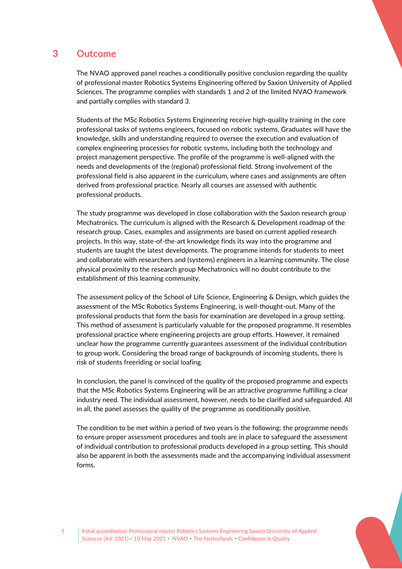## 3 **Outcome**

<span id="page-4-0"></span>The NVAO approved panel reaches a conditionally positive conclusion regarding the quality of professional master Robotics Systems Engineering offered by Saxion University of Applied Sciences. The programme complies with standards 1 and 2 of the limited NVAO framework and partially complies with standard 3.

Students of the MSc Robotics Systems Engineering receive high-quality training in the core professional tasks of systems engineers, focused on robotic systems. Graduates will have the knowledge, skills and understanding required to oversee the execution and evaluation of complex engineering processes for robotic systems, including both the technology and project management perspective. The profile of the programme is well-aligned with the needs and developments of the (regional) professional field. Strong involvement of the professional field is also apparent in the curriculum, where cases and assignments are often derived from professional practice. Nearly all courses are assessed with authentic professional products.

The study programme was developed in close collaboration with the Saxion research group Mechatronics. The curriculum is aligned with the Research & Development roadmap of the research group. Cases, examples and assignments are based on current applied research projects. In this way, state-of-the-art knowledge finds its way into the programme and students are taught the latest developments. The programme intends for students to meet and collaborate with researchers and (systems) engineers in a learning community. The close physical proximity to the research group Mechatronics will no doubt contribute to the establishment of this learning community.

The assessment policy of the School of Life Science, Engineering & Design, which guides the assessment of the MSc Robotics Systems Engineering, is well-thought-out. Many of the professional products that form the basis for examination are developed in a group setting. This method of assessment is particularly valuable for the proposed programme. It resembles professional practice where engineering projects are group efforts. However, it remained unclear how the programme currently guarantees assessment of the individual contribution to group work. Considering the broad range of backgrounds of incoming students, there is risk of students freeriding or social loafing.

In conclusion, the panel is convinced of the quality of the proposed programme and expects that the MSc Robotics Systems Engineering will be an attractive programme fulfilling a clear industry need. The individual assessment, however, needs to be clarified and safeguarded. All in all, the panel assesses the quality of the programme as conditionally positive.

The condition to be met within a period of two years is the following: the programme needs to ensure proper assessment procedures and tools are in place to safeguard the assessment of individual contribution to professional products developed in a group setting. This should also be apparent in both the assessments made and the accompanying individual assessment forms.

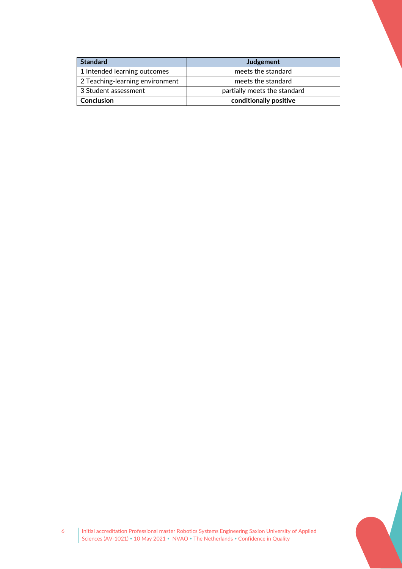| <b>Standard</b>                 | Judgement                    |
|---------------------------------|------------------------------|
| 1 Intended learning outcomes    | meets the standard           |
| 2 Teaching-learning environment | meets the standard           |
| 3 Student assessment            | partially meets the standard |
| Conclusion                      | conditionally positive       |

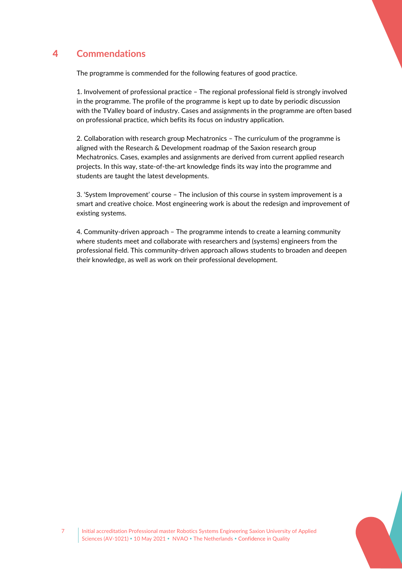# 4 **Commendations**

<span id="page-6-0"></span>The programme is commended for the following features of good practice.

1. Involvement of professional practice – The regional professional field is strongly involved in the programme. The profile of the programme is kept up to date by periodic discussion with the TValley board of industry. Cases and assignments in the programme are often based on professional practice, which befits its focus on industry application.

2. Collaboration with research group Mechatronics – The curriculum of the programme is aligned with the Research & Development roadmap of the Saxion research group Mechatronics. Cases, examples and assignments are derived from current applied research projects. In this way, state-of-the-art knowledge finds its way into the programme and students are taught the latest developments.

3. 'System Improvement' course – The inclusion of this course in system improvement is a smart and creative choice. Most engineering work is about the redesign and improvement of existing systems.

4. Community-driven approach – The programme intends to create a learning community where students meet and collaborate with researchers and (systems) engineers from the professional field. This community-driven approach allows students to broaden and deepen their knowledge, as well as work on their professional development.

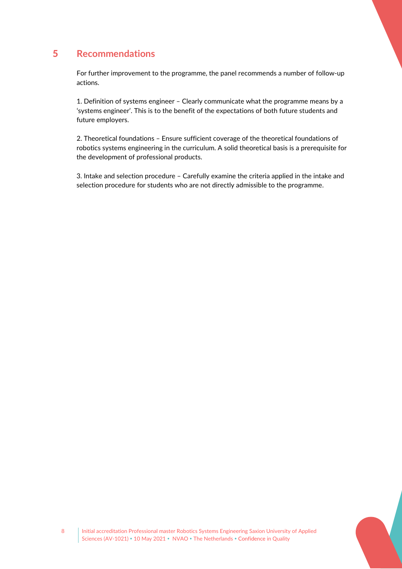# 5 **Recommendations**

<span id="page-7-0"></span>For further improvement to the programme, the panel recommends a number of follow-up actions.

1. Definition of systems engineer – Clearly communicate what the programme means by a 'systems engineer'. This is to the benefit of the expectations of both future students and future employers.

2. Theoretical foundations – Ensure sufficient coverage of the theoretical foundations of robotics systems engineering in the curriculum. A solid theoretical basis is a prerequisite for the development of professional products.

3. Intake and selection procedure – Carefully examine the criteria applied in the intake and selection procedure for students who are not directly admissible to the programme.

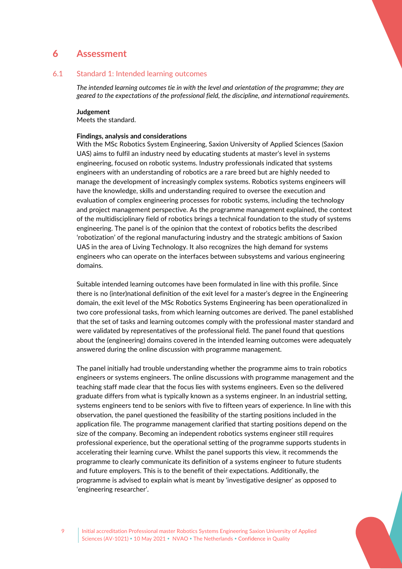## <span id="page-8-0"></span>6 **Assessment**

## 6.1 Standard 1: Intended learning outcomes

<span id="page-8-1"></span>*The intended learning outcomes tie in with the level and orientation of the programme; they are geared to the expectations of the professional field, the discipline, and international requirements.*

#### **Judgement**

Meets the standard.

### **Findings, analysis and considerations**

With the MSc Robotics System Engineering, Saxion University of Applied Sciences (Saxion UAS) aims to fulfil an industry need by educating students at master's level in systems engineering, focused on robotic systems. Industry professionals indicated that systems engineers with an understanding of robotics are a rare breed but are highly needed to manage the development of increasingly complex systems. Robotics systems engineers will have the knowledge, skills and understanding required to oversee the execution and evaluation of complex engineering processes for robotic systems, including the technology and project management perspective. As the programme management explained, the context of the multidisciplinary field of robotics brings a technical foundation to the study of systems engineering. The panel is of the opinion that the context of robotics befits the described 'robotization' of the regional manufacturing industry and the strategic ambitions of Saxion UAS in the area of Living Technology. It also recognizes the high demand for systems engineers who can operate on the interfaces between subsystems and various engineering domains.

Suitable intended learning outcomes have been formulated in line with this profile. Since there is no (inter)national definition of the exit level for a master's degree in the Engineering domain, the exit level of the MSc Robotics Systems Engineering has been operationalized in two core professional tasks, from which learning outcomes are derived. The panel established that the set of tasks and learning outcomes comply with the professional master standard and were validated by representatives of the professional field. The panel found that questions about the (engineering) domains covered in the intended learning outcomes were adequately answered during the online discussion with programme management.

The panel initially had trouble understanding whether the programme aims to train robotics engineers or systems engineers. The online discussions with programme management and the teaching staff made clear that the focus lies with systems engineers. Even so the delivered graduate differs from what is typically known as a systems engineer. In an industrial setting, systems engineers tend to be seniors with five to fifteen years of experience. In line with this observation, the panel questioned the feasibility of the starting positions included in the application file. The programme management clarified that starting positions depend on the size of the company. Becoming an independent robotics systems engineer still requires professional experience, but the operational setting of the programme supports students in accelerating their learning curve. Whilst the panel supports this view, it recommends the programme to clearly communicate its definition of a systems engineer to future students and future employers. This is to the benefit of their expectations. Additionally, the programme is advised to explain what is meant by 'investigative designer' as opposed to 'engineering researcher'.



9 Initial accreditation Professional master Robotics Systems Engineering Saxion University of Applied Sciences (AV-1021) • 10 May 2021 • NVAO • The Netherlands • Confidence in Quality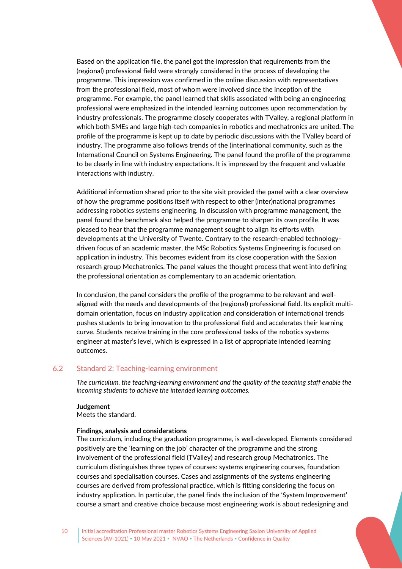Based on the application file, the panel got the impression that requirements from the (regional) professional field were strongly considered in the process of developing the programme. This impression was confirmed in the online discussion with representatives from the professional field, most of whom were involved since the inception of the programme. For example, the panel learned that skills associated with being an engineering professional were emphasized in the intended learning outcomes upon recommendation by industry professionals. The programme closely cooperates with TValley, a regional platform in which both SMEs and large high-tech companies in robotics and mechatronics are united. The profile of the programme is kept up to date by periodic discussions with the TValley board of industry. The programme also follows trends of the (inter)national community, such as the International Council on Systems Engineering. The panel found the profile of the programme to be clearly in line with industry expectations. It is impressed by the frequent and valuable interactions with industry.

Additional information shared prior to the site visit provided the panel with a clear overview of how the programme positions itself with respect to other (inter)national programmes addressing robotics systems engineering. In discussion with programme management, the panel found the benchmark also helped the programme to sharpen its own profile. It was pleased to hear that the programme management sought to align its efforts with developments at the University of Twente. Contrary to the research-enabled technologydriven focus of an academic master, the MSc Robotics Systems Engineering is focused on application in industry. This becomes evident from its close cooperation with the Saxion research group Mechatronics. The panel values the thought process that went into defining the professional orientation as complementary to an academic orientation.

In conclusion, the panel considers the profile of the programme to be relevant and wellaligned with the needs and developments of the (regional) professional field. Its explicit multidomain orientation, focus on industry application and consideration of international trends pushes students to bring innovation to the professional field and accelerates their learning curve. Students receive training in the core professional tasks of the robotics systems engineer at master's level, which is expressed in a list of appropriate intended learning outcomes.

## 6.2 Standard 2: Teaching-learning environment

<span id="page-9-0"></span>*The curriculum, the teaching-learning environment and the quality of the teaching staff enable the incoming students to achieve the intended learning outcomes.*

#### **Judgement**

Meets the standard.

#### **Findings, analysis and considerations**

The curriculum, including the graduation programme, is well-developed. Elements considered positively are the 'learning on the job' character of the programme and the strong involvement of the professional field (TValley) and research group Mechatronics. The curriculum distinguishes three types of courses: systems engineering courses, foundation courses and specialisation courses. Cases and assignments of the systems engineering courses are derived from professional practice, which is fitting considering the focus on industry application. In particular, the panel finds the inclusion of the 'System Improvement' course a smart and creative choice because most engineering work is about redesigning and

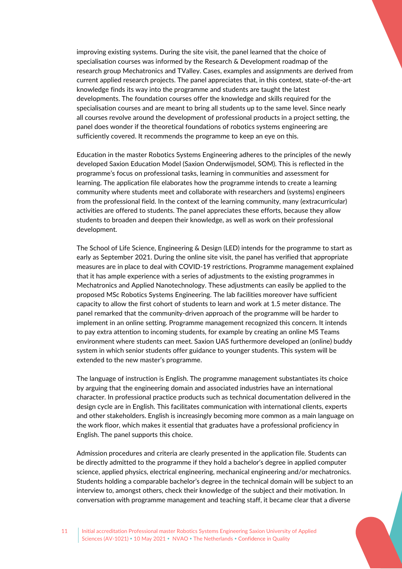improving existing systems. During the site visit, the panel learned that the choice of specialisation courses was informed by the Research & Development roadmap of the research group Mechatronics and TValley. Cases, examples and assignments are derived from current applied research projects. The panel appreciates that, in this context, state-of-the-art knowledge finds its way into the programme and students are taught the latest developments. The foundation courses offer the knowledge and skills required for the specialisation courses and are meant to bring all students up to the same level. Since nearly all courses revolve around the development of professional products in a project setting, the panel does wonder if the theoretical foundations of robotics systems engineering are sufficiently covered. It recommends the programme to keep an eye on this.

Education in the master Robotics Systems Engineering adheres to the principles of the newly developed Saxion Education Model (Saxion Onderwijsmodel, SOM). This is reflected in the programme's focus on professional tasks, learning in communities and assessment for learning. The application file elaborates how the programme intends to create a learning community where students meet and collaborate with researchers and (systems) engineers from the professional field. In the context of the learning community, many (extracurricular) activities are offered to students. The panel appreciates these efforts, because they allow students to broaden and deepen their knowledge, as well as work on their professional development.

The School of Life Science, Engineering & Design (LED) intends for the programme to start as early as September 2021. During the online site visit, the panel has verified that appropriate measures are in place to deal with COVID-19 restrictions. Programme management explained that it has ample experience with a series of adjustments to the existing programmes in Mechatronics and Applied Nanotechnology. These adjustments can easily be applied to the proposed MSc Robotics Systems Engineering. The lab facilities moreover have sufficient capacity to allow the first cohort of students to learn and work at 1.5 meter distance. The panel remarked that the community-driven approach of the programme will be harder to implement in an online setting. Programme management recognized this concern. It intends to pay extra attention to incoming students, for example by creating an online MS Teams environment where students can meet. Saxion UAS furthermore developed an (online) buddy system in which senior students offer guidance to younger students. This system will be extended to the new master's programme.

The language of instruction is English. The programme management substantiates its choice by arguing that the engineering domain and associated industries have an international character. In professional practice products such as technical documentation delivered in the design cycle are in English. This facilitates communication with international clients, experts and other stakeholders. English is increasingly becoming more common as a main language on the work floor, which makes it essential that graduates have a professional proficiency in English. The panel supports this choice.

Admission procedures and criteria are clearly presented in the application file. Students can be directly admitted to the programme if they hold a bachelor's degree in applied computer science, applied physics, electrical engineering, mechanical engineering and/or mechatronics. Students holding a comparable bachelor's degree in the technical domain will be subject to an interview to, amongst others, check their knowledge of the subject and their motivation. In conversation with programme management and teaching staff, it became clear that a diverse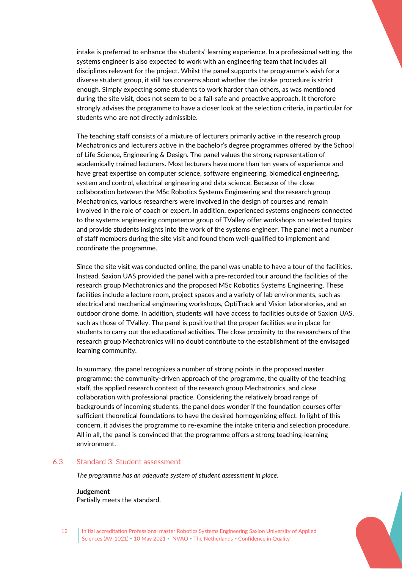intake is preferred to enhance the students' learning experience. In a professional setting, the systems engineer is also expected to work with an engineering team that includes all disciplines relevant for the project. Whilst the panel supports the programme's wish for a diverse student group, it still has concerns about whether the intake procedure is strict enough. Simply expecting some students to work harder than others, as was mentioned during the site visit, does not seem to be a fail-safe and proactive approach. It therefore strongly advises the programme to have a closer look at the selection criteria, in particular for students who are not directly admissible.

The teaching staff consists of a mixture of lecturers primarily active in the research group Mechatronics and lecturers active in the bachelor's degree programmes offered by the School of Life Science, Engineering & Design. The panel values the strong representation of academically trained lecturers. Most lecturers have more than ten years of experience and have great expertise on computer science, software engineering, biomedical engineering, system and control, electrical engineering and data science. Because of the close collaboration between the MSc Robotics Systems Engineering and the research group Mechatronics, various researchers were involved in the design of courses and remain involved in the role of coach or expert. In addition, experienced systems engineers connected to the systems engineering competence group of TValley offer workshops on selected topics and provide students insights into the work of the systems engineer. The panel met a number of staff members during the site visit and found them well-qualified to implement and coordinate the programme.

Since the site visit was conducted online, the panel was unable to have a tour of the facilities. Instead, Saxion UAS provided the panel with a pre-recorded tour around the facilities of the research group Mechatronics and the proposed MSc Robotics Systems Engineering. These facilities include a lecture room, project spaces and a variety of lab environments, such as electrical and mechanical engineering workshops, OptiTrack and Vision laboratories, and an outdoor drone dome. In addition, students will have access to facilities outside of Saxion UAS, such as those of TValley. The panel is positive that the proper facilities are in place for students to carry out the educational activities. The close proximity to the researchers of the research group Mechatronics will no doubt contribute to the establishment of the envisaged learning community.

In summary, the panel recognizes a number of strong points in the proposed master programme: the community-driven approach of the programme, the quality of the teaching staff, the applied research context of the research group Mechatronics, and close collaboration with professional practice. Considering the relatively broad range of backgrounds of incoming students, the panel does wonder if the foundation courses offer sufficient theoretical foundations to have the desired homogenizing effect. In light of this concern, it advises the programme to re-examine the intake criteria and selection procedure. All in all, the panel is convinced that the programme offers a strong teaching-learning environment.

## <span id="page-11-0"></span>6.3 Standard 3: Student assessment

*The programme has an adequate system of student assessment in place.*

**Judgement**

Partially meets the standard.

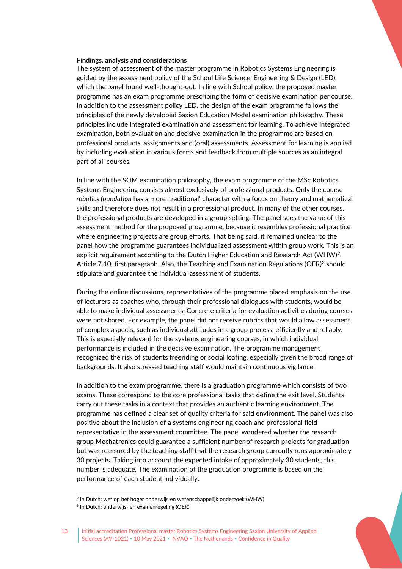#### **Findings, analysis and considerations**

The system of assessment of the master programme in Robotics Systems Engineering is guided by the assessment policy of the School Life Science, Engineering & Design (LED), which the panel found well-thought-out. In line with School policy, the proposed master programme has an exam programme prescribing the form of decisive examination per course. In addition to the assessment policy LED, the design of the exam programme follows the principles of the newly developed Saxion Education Model examination philosophy. These principles include integrated examination and assessment for learning. To achieve integrated examination, both evaluation and decisive examination in the programme are based on professional products, assignments and (oral) assessments. Assessment for learning is applied by including evaluation in various forms and feedback from multiple sources as an integral part of all courses.

In line with the SOM examination philosophy, the exam programme of the MSc Robotics Systems Engineering consists almost exclusively of professional products. Only the course *robotics foundation* has a more 'traditional' character with a focus on theory and mathematical skills and therefore does not result in a professional product. In many of the other courses, the professional products are developed in a group setting. The panel sees the value of this assessment method for the proposed programme, because it resembles professional practice where engineering projects are group efforts. That being said, it remained unclear to the panel how the programme guarantees individualized assessment within group work. This is an explicit requirement according to the Dutch Higher Education and Research Act (WHW)<sup>[2](#page-12-0)</sup>, Article 7.10, first paragraph. Also, the Teaching and Examination Regulations (OER) $3$  should stipulate and guarantee the individual assessment of students.

During the online discussions, representatives of the programme placed emphasis on the use of lecturers as coaches who, through their professional dialogues with students, would be able to make individual assessments. Concrete criteria for evaluation activities during courses were not shared. For example, the panel did not receive rubrics that would allow assessment of complex aspects, such as individual attitudes in a group process, efficiently and reliably. This is especially relevant for the systems engineering courses, in which individual performance is included in the decisive examination. The programme management recognized the risk of students freeriding or social loafing, especially given the broad range of backgrounds. It also stressed teaching staff would maintain continuous vigilance.

In addition to the exam programme, there is a graduation programme which consists of two exams. These correspond to the core professional tasks that define the exit level. Students carry out these tasks in a context that provides an authentic learning environment. The programme has defined a clear set of quality criteria for said environment. The panel was also positive about the inclusion of a systems engineering coach and professional field representative in the assessment committee. The panel wondered whether the research group Mechatronics could guarantee a sufficient number of research projects for graduation but was reassured by the teaching staff that the research group currently runs approximately 30 projects. Taking into account the expected intake of approximately 30 students, this number is adequate. The examination of the graduation programme is based on the performance of each student individually.



<sup>&</sup>lt;sup>2</sup> In Dutch: wet op het hoger onderwijs en wetenschappelijk onderzoek (WHW)

<span id="page-12-1"></span><span id="page-12-0"></span><sup>3</sup> In Dutch: onderwijs- en examenregeling (OER)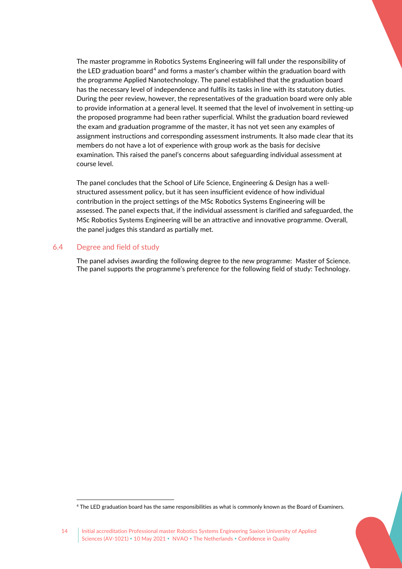The master programme in Robotics Systems Engineering will fall under the responsibility of the LED graduation board<sup>[4](#page-13-1)</sup> and forms a master's chamber within the graduation board with the programme Applied Nanotechnology. The panel established that the graduation board has the necessary level of independence and fulfils its tasks in line with its statutory duties. During the peer review, however, the representatives of the graduation board were only able to provide information at a general level. It seemed that the level of involvement in setting-up the proposed programme had been rather superficial. Whilst the graduation board reviewed the exam and graduation programme of the master, it has not yet seen any examples of assignment instructions and corresponding assessment instruments. It also made clear that its members do not have a lot of experience with group work as the basis for decisive examination. This raised the panel's concerns about safeguarding individual assessment at course level.

The panel concludes that the School of Life Science, Engineering & Design has a wellstructured assessment policy, but it has seen insufficient evidence of how individual contribution in the project settings of the MSc Robotics Systems Engineering will be assessed. The panel expects that, if the individual assessment is clarified and safeguarded, the MSc Robotics Systems Engineering will be an attractive and innovative programme. Overall, the panel judges this standard as partially met.

## 6.4 Degree and field of study

<span id="page-13-0"></span>The panel advises awarding the following degree to the new programme: Master of Science. The panel supports the programme's preference for the following field of study: Technology.



<span id="page-13-1"></span><sup>4</sup> The LED graduation board has the same responsibilities as what is commonly known as the Board of Examiners.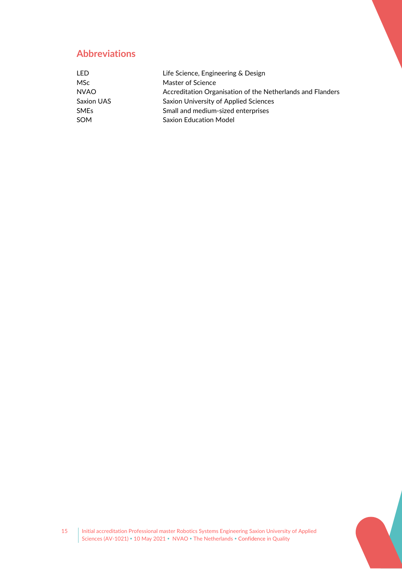# **Abbreviations**

| Life Science, Engineering & Design                         |
|------------------------------------------------------------|
| Master of Science                                          |
| Accreditation Organisation of the Netherlands and Flanders |
| Saxion University of Applied Sciences                      |
| Small and medium-sized enterprises                         |
| <b>Saxion Education Model</b>                              |
|                                                            |